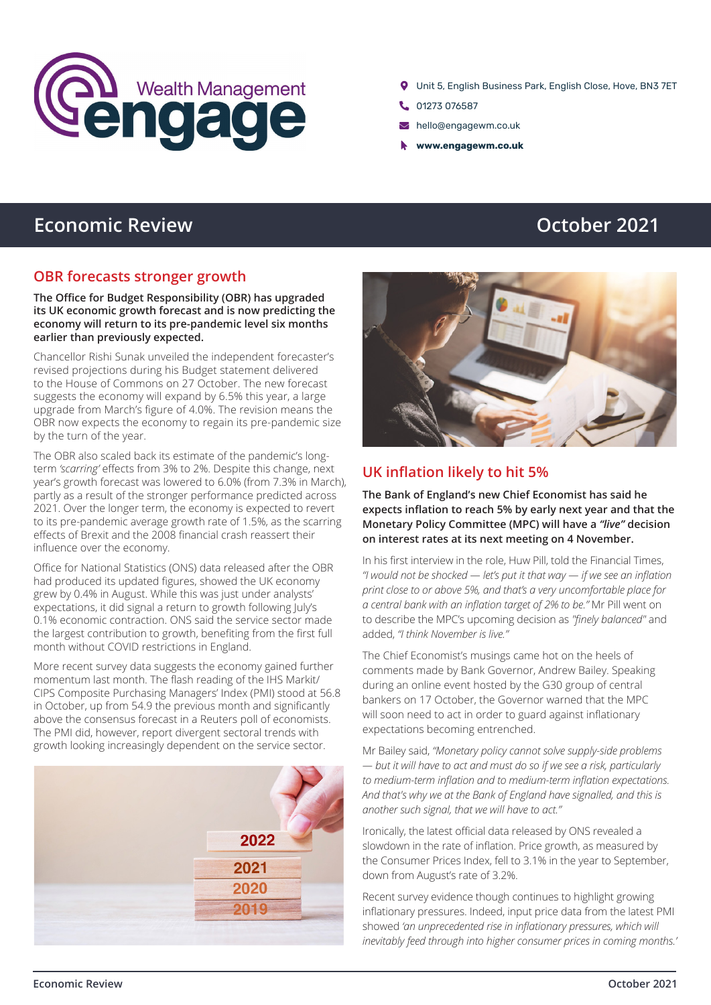

- Unit 5, English Business Park, English Close, Hove, BN3 7ET
- C. 01273 076587
- hello@engagewm.co.uk
- **www.engagewm.co.uk**

# **Economic Review <b>CEO CEO CEO CEO CEO CEO CEO CEO CEO CEO CEO CEO CEO CEO CEO CEO CEO**

#### **OBR forecasts stronger growth**

#### **The Office for Budget Responsibility (OBR) has upgraded its UK economic growth forecast and is now predicting the economy will return to its pre-pandemic level six months earlier than previously expected.**

Chancellor Rishi Sunak unveiled the independent forecaster's revised projections during his Budget statement delivered to the House of Commons on 27 October. The new forecast suggests the economy will expand by 6.5% this year, a large upgrade from March's figure of 4.0%. The revision means the OBR now expects the economy to regain its pre-pandemic size by the turn of the year.

The OBR also scaled back its estimate of the pandemic's longterm *'scarring'* effects from 3% to 2%. Despite this change, next year's growth forecast was lowered to 6.0% (from 7.3% in March), partly as a result of the stronger performance predicted across 2021. Over the longer term, the economy is expected to revert to its pre-pandemic average growth rate of 1.5%, as the scarring effects of Brexit and the 2008 financial crash reassert their influence over the economy.

Office for National Statistics (ONS) data released after the OBR had produced its updated figures, showed the UK economy grew by 0.4% in August. While this was just under analysts' expectations, it did signal a return to growth following July's 0.1% economic contraction. ONS said the service sector made the largest contribution to growth, benefiting from the first full month without COVID restrictions in England.

More recent survey data suggests the economy gained further momentum last month. The flash reading of the IHS Markit/ CIPS Composite Purchasing Managers' Index (PMI) stood at 56.8 in October, up from 54.9 the previous month and significantly above the consensus forecast in a Reuters poll of economists. The PMI did, however, report divergent sectoral trends with growth looking increasingly dependent on the service sector.





### **UK inflation likely to hit 5%**

**The Bank of England's new Chief Economist has said he expects inflation to reach 5% by early next year and that the Monetary Policy Committee (MPC) will have a** *"live"* **decision on interest rates at its next meeting on 4 November.**

In his first interview in the role, Huw Pill, told the Financial Times, *"I would not be shocked — let's put it that way — if we see an inflation print close to or above 5%, and that's a very uncomfortable place for a central bank with an inflation target of 2% to be."* Mr Pill went on to describe the MPC's upcoming decision as *"finely balanced"* and added, *"I think November is live."* 

The Chief Economist's musings came hot on the heels of comments made by Bank Governor, Andrew Bailey. Speaking during an online event hosted by the G30 group of central bankers on 17 October, the Governor warned that the MPC will soon need to act in order to guard against inflationary expectations becoming entrenched.

Mr Bailey said, *"Monetary policy cannot solve supply-side problems — but it will have to act and must do so if we see a risk, particularly to medium-term inflation and to medium-term inflation expectations. And that's why we at the Bank of England have signalled, and this is another such signal, that we will have to act."*

Ironically, the latest official data released by ONS revealed a slowdown in the rate of inflation. Price growth, as measured by the Consumer Prices Index, fell to 3.1% in the year to September, down from August's rate of 3.2%.

Recent survey evidence though continues to highlight growing inflationary pressures. Indeed, input price data from the latest PMI showed *'an unprecedented rise in inflationary pressures, which will inevitably feed through into higher consumer prices in coming months.'*